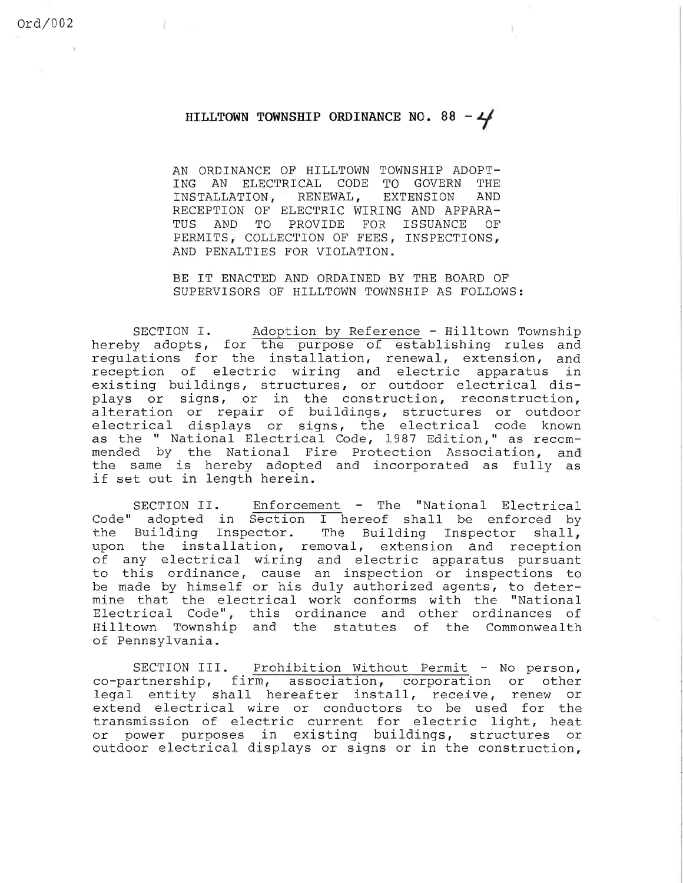## HILLTOWN TOWNSHIP ORDINANCE NO. 88 -  $4$

AN ORDINANCE OF HILLTOWN TOWNSHIP ADOPT-ING AN ELECTRICAL CODE TO GOVERN THE INSTALLATION, RENEWAL, EXTENSION AND RECEPTION OF ELECTRIC WIRING AND APPARA-TUS AND TO PROVIDE FOR ISSUANCE OF PERMITS, COLLECTION OF FEES, INSPECTIONS, AND PENALTIES FOR VIOLATION.

BE IT ENACTED AND ORDAINED BY THE BOARD OF SUPERVISORS OF HILLTOWN TOWNSHIP AS FOLLOWS:

SECTION I. Adoption by Reference - Hilltown Township hereby adopts, for the purpose of establishing rules and regulations for the installation, renewal, extension, and reception of electric wiring and electric apparatus in existing buildings, structures, or outdoor electrical displays or signs, or in the construction, reconst alteration or repair or buildings, structures or outd electrical displays or signs, the electrical code kno as the " National Electrical Code, 1987 Edition, " as reccmmended by the National Fire Protection Association, an the same is hereby adopted and incorporated as fully a if set out in length herein.

Enforcement - The "National Electrical Code" adopted in Section I hereof shall be enforced b the Building Inspector. The Building Inspector sha upon the installation, removal, extension and recep of any electrical wiring and electric apparatus purs to this ordinance, cause an inspection or inspections t be made by himselt or his duly authorized agents, to det mine that the electrical work conforms with the "Nat. Electrical Code", this ordinance and other ordinances o Hilltown Township and the statutes of the Commonwe SECTION II. of Pennsylvania.

SECTION III. Prohibition Without Permit - No person, co-partnership, firm, association, corporation or other legal entity shall hereafter install, receive, renew or extend electrical wire or conductors to be used for the transmission of electric current for electric light, heat or power purposes in existing buildings, structures or outdoor electrical displays or signs or in the construction,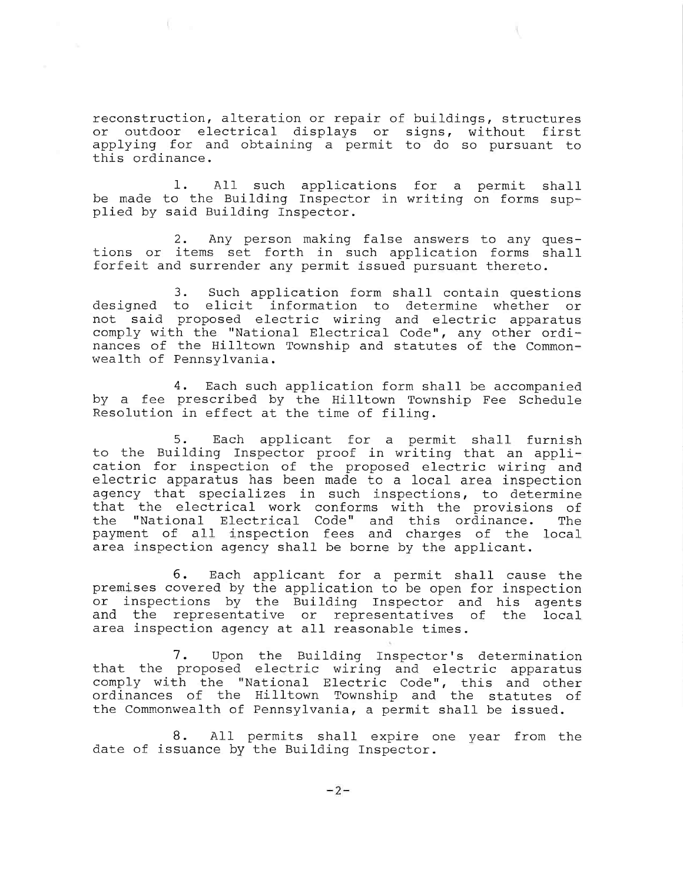reconstruction, alteration or repair of buildings, structures or outdoor electrical displays or signs, without first applying for and obtaining a permit to do so pursuant to this ordinance.

1. All such applications for a permit shall be made to the Building Inspector in writing on forms supplied by said Building Inspector.

2. Any person making false answers to any questions or items set forth in such application forms shall forfeit and surrender any permit issued pursuant thereto.

3, Such application form shall contain questions designed to elicit information to determine whether or not said proposed electric wiring and electric apparatus comply with the "National Electrical Code", any other or nances of the Hilltown Township and statutes of the Commo wealth of Pennsylvania.

4. Each such application form shall be accompanied by a fee prescribed by the Hilltown Township Fee Schedule Resolution in effect at the time of filing.

5. Each applicant for a permit shall furnish to the Building Inspector proof in writing that an application for inspection of the proposed electric wiring and electric apparatus has been made to a local area inspection agency that specializes in such inspections, to determine that the electrical work conforms with the provisions of the "National Electrical Code" and this ordinance. The payment of all 'inspection fees and charges of the local area inspection agency shall be borne by the applicant.

6. Each applicant for a permit shall cause the premises covered by the application to be open for inspection or inspections by the Building Inspector and his agents and the representative or representatives of the local area inspection agency at all reasonable times.

7. Upon the Building Inspector's determination that the proposed electric wiring and electric apparatus comply with the "National Electric Code", this and other ordinances of the Hilltown Township and the statutes of the Commonwealth of Pennsylvania, a permit shall be issued.

8. All permits shall expire one year from the date of issuance by the Building Inspector.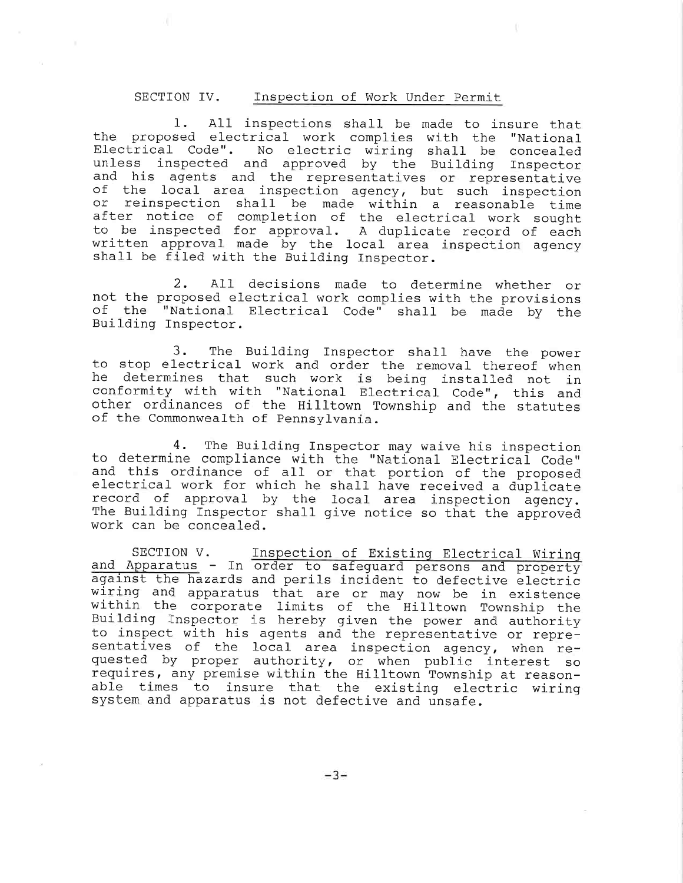## SECTION IV. Inspection of Work Under Permit

 $\perp$ . All inspections shall be made to insure th the proposed electrical work complies with the "Nat Electrical Code". No electric wiring shall be conce unless inspected and approved by the Building Inspector and his agents and the representatives or representative of the local area inspection agency, but such inspection or reinspection shall be made within a reasonable ti after notice o to be inspe written approval made by the local area inspection ager shall be filed with the Building Inspe completion of the electrical work soug for approval. A duplicate record of eac

2. All decisions made to determine whether or not the proposed electrical work complies with the provisions of the "National Electrical Code" shall be made by the Building Inspector.

3. The Building Inspector shall have the power to stop electrical work and order the removal thereof when he determines that such work is being installed not in conformity with with "National Electrical Code", this and other ordinances of the Hilltown Township and the statutes of the Commonwealth of Pennsylvania.

4. The Building Inspector may waive his inspection to determine compliance with the "National Electrical Code" and this ordinance of all or that portion of the proposed electrical work for which he shall have received a duplicate record of approval by the local area inspection agency. The Building Inspector shall give notice so that the approved work can be concealed.

SECTION V. Inspection of Existinq Electrical Wirinq and Apparatus - In order to safeguard persons and property against the hazards and perils incident to defective electric wiring and apparatus that are or may now be in exist within the corporate limits of the Hilltown Township the Building Inspector is hereby given the power and authority to inspect with his agents and the representative or representatives of the local area inspection agency, when  $r_{\rm f}$ quested by proper authority, or when public interest so requires, any premise within the Hilltown Township at reasonable times to insure that the existing electric wiring system and apparatus is not defective and unsafe.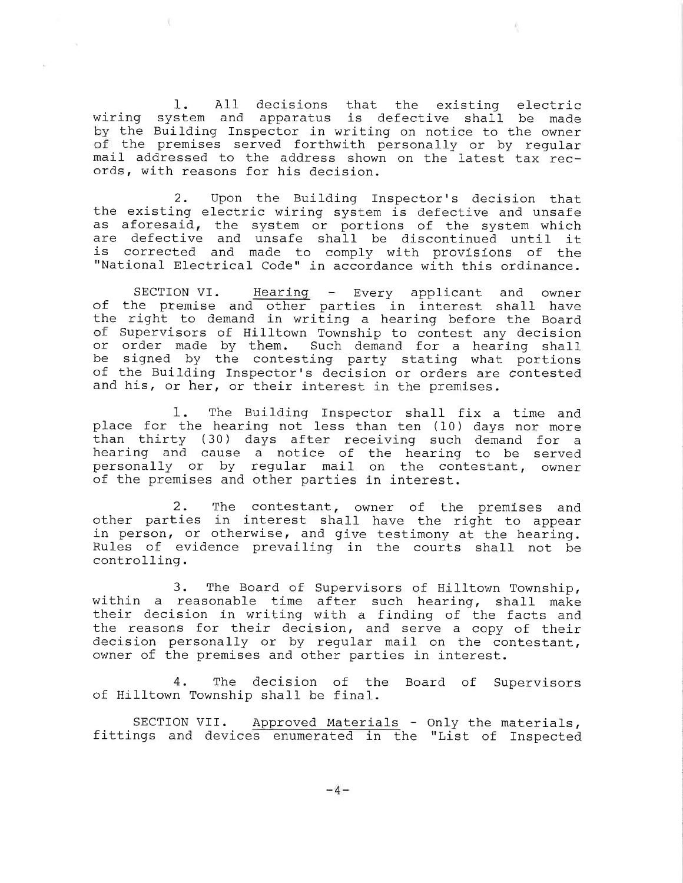All decisions that the existing elec and apparatus is defective shall be mad by the Building Inspector in writing on notice to the own of the premises served forthwith personally or by regu mail addressed to the address shown on the latest tax records, with reasons for his decis 1. wiring syst

2. Upon the Building Inspector's decision that the existing electric wiring system is defective and unsafe as aforesaid, the system or portions of the system which are defective and unsafe shall be discontinued until it is corrected and made to comply with provisions of the "National Electrical Code" in accordance with this ordinance.

SECTION VI. Hearing - Every applicant and owner or the premise and other parties in interest shall hav the right to demand in writing a hearing before the Boa of Supervisors of Hilltown Township to contest any decision or order made by them. Such demand for a hearing sha be signed by the contesting party stating what port of the Building Inspector's decision or orders are contested and his, or her, or their interest in the premises.

 $\pm$ . The Building place for the hearing no than thirty (30) days after receiving such demand for a hearing and cause a not personally or by requ of the premises and other parties in inte Inspector shall fix a time an less than ten (10) days nor more of the hearing to be serv mail on the contestant, own

2. The contestant, owner of the premises and other parties in interest shall have the right to appear in person, or otherwise, and give testimony at the hearing. Rules of evidence prevailing in the courts shall not be controlling.

3. The Board of Supervisors of Hilltown Township, within a reasonable time after such hearing, shall make their decision in writing with a finding of the facts and the reasons for their decision, and serve a copy of their decision personally or by regular mail on the contestant, owner of the premises and other parties in interest.

4. The decision of the Board of Superv ot Hılltown Township shall be fir

SECTION VII. Approved Materials - Only the mater fittings and devices enumerated in the "List of Inspected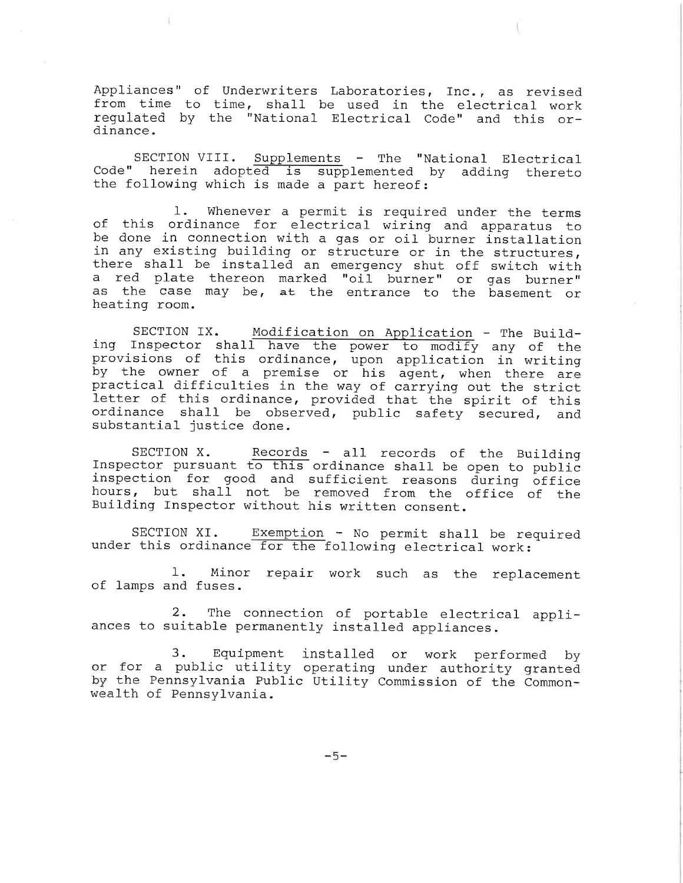Appliances" of Underwriters Laboratories, Inc., as revised from time to time, shall be used in the electrical work regulated by the "National Electrical Code" and this ordinance.

SECTION VIII. Supplements - The "National Electrical Code" herein adopted is supplemented by adding thereto the following which is made a part hereof:

1. Whenever a permit is required under the terms of this ordinance for electrical wiring and apparatus to be done in connection with a gas or oil burner installation in any existing building or structure or in the structures, there shall be installed an emergency shut off switch with a red plate thereon marked "oil burner" or gas burner" as the case may be, at the entrance to the basement or heating room.

SECTION IX. Modification on Application - The Building Inspector shall have the power to modify any of the provisions of this ordinance, upon application in writing by the owner of a premise or his agent, when there are practical difficulties in the way of carryinq out the strict letter of this ordinance, provided that the spirit of this ordinance shall be observed, public safety secured, and substantial justice done.

SECTION X. Records - all records of the Buil Inspector pursuant to this ordinance shall be open to pub inspection for good and sufficient reasons during office hours, but shall not be removed from the office of the Building Inspector without his written consent.

SECTION XI. Exemption - No permit shall be required under this ordinance for the following electrical work:

1. Minor repair work such as the replacement of lamps and fuses.

2. The connection of portable electrical appliances to suitable permanently installed applia

3. Equipment installed or work performed by or for a public utility operating under authority granted by the Pennsylvania Public Utility Commission of the Commonwealth of Pennsylvania.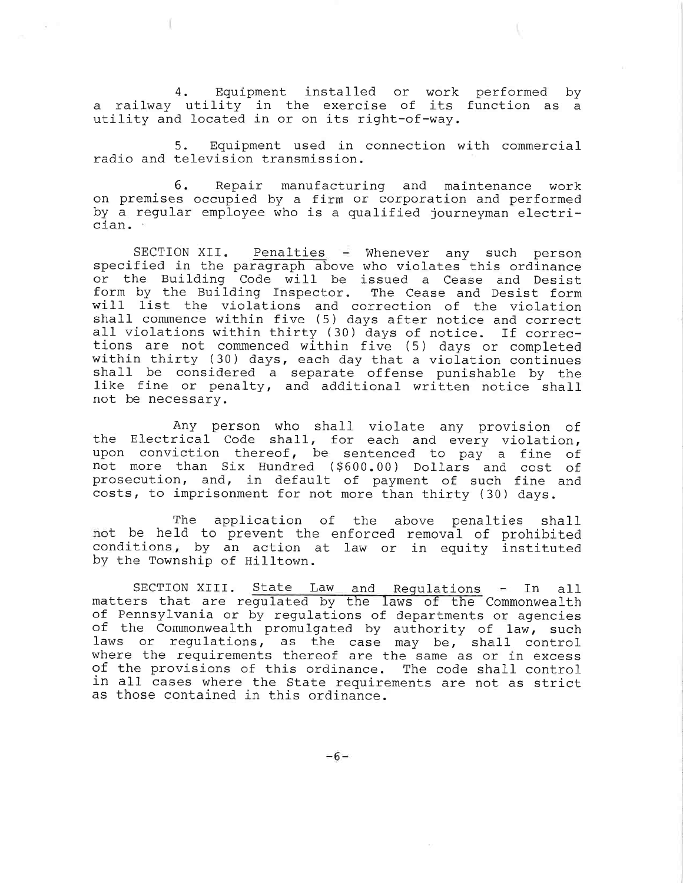4. Equipment installed or work performed by a railway utility in the exercise of its function as a utility and located in or on its right-of-way,

5. Equipment used in connection with commercial radio and television transmission.

6. Repair manufacturing and maintenance work on premises occupied by a firm or corporation and performed by a regular employee who is a qualified journeyman electrician.

SECTION XII. Penalties - Whenever any such person specified in the paragraph above who violates this ordinance or the Building Code will be issued a Cease and Desist form by the Building Inspector. The Cease and Desist form will list the violations and correction of the viol shall commence within five (5) days after notice and cor all violations within thirty (30) days of notice. If corrections are not commenced within five (5) days or completed within thirty (30) days, each day that a violation continues shall be considered a separate offense punishable by the like fine or penalty, and additional written notice shall not be necessary.

Any person who shall violate any provision of the Electrical Code shall, for each and every viol upon conviction thereof, be sentenced to pay a fine of not more than Six Hundred (\$600.00) Dollars and cost of prosecution, and, in default of payment of such fine and costs, to imprisonment for not more than thirty (30) days.

The application of the above penalties shall not be held to prevent the enforced removal of prohibited conditions, by an action at law or in equity instituted by the Township of Hilltown.

SECTION XIII. State Law and Regulations - In all matters that are regulated by the laws of the Commonw $\epsilon$ of Pennsylvania or by regulations of departments or agencies or the Commonwealth promulgated by authority of law, su $\epsilon$ laws or regulations, as the case may be, shall cont where the requirements thereof are the same as or in exc $\epsilon$ of the provisions of this ordinance. The code shall control in all cases where the State requirements are not as strict as those contained in this ordinance.

-6-